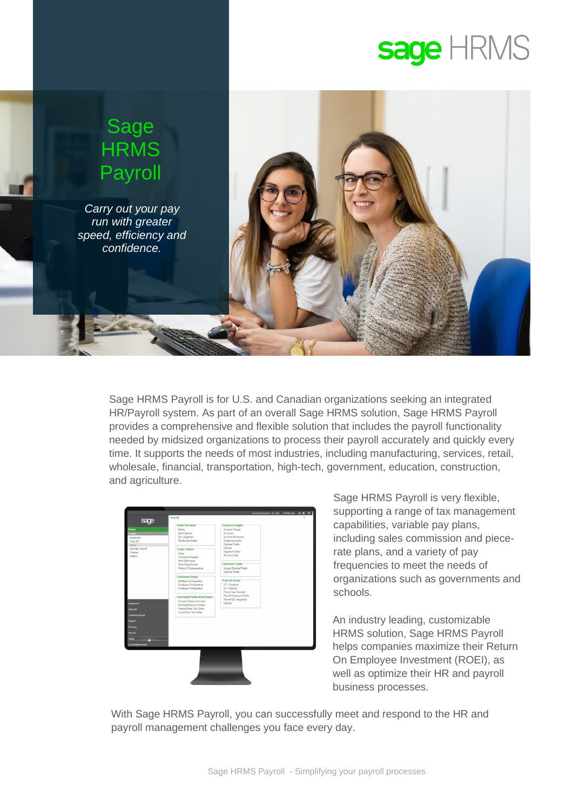# sage HRMS



Sage HRMS Payroll is for U.S. and Canadian organizations seeking an integrated HR/Payroll system. As part of an overall Sage HRMS solution, Sage HRMS Payroll provides a comprehensive and flexible solution that includes the payroll functionality needed by midsized organizations to process their payroll accurately and quickly every time. It supports the needs of most industries, including manufacturing, services, retail, wholesale, financial, transportation, high-tech, government, education, construction, and agriculture.

| <b>Bank Services</b><br><b>Ranks</b><br><b>Bank Options</b><br>G/L Integration<br>Distribution Codes<br>Code Tables | General Ledger<br>Account Groups<br>Accounts<br>Account Structures<br>Create Accounts<br>Optional Fields                                                                                                                                                                                                                       |                                                                                                                                                                       |
|---------------------------------------------------------------------------------------------------------------------|--------------------------------------------------------------------------------------------------------------------------------------------------------------------------------------------------------------------------------------------------------------------------------------------------------------------------------|-----------------------------------------------------------------------------------------------------------------------------------------------------------------------|
|                                                                                                                     |                                                                                                                                                                                                                                                                                                                                |                                                                                                                                                                       |
|                                                                                                                     |                                                                                                                                                                                                                                                                                                                                |                                                                                                                                                                       |
|                                                                                                                     |                                                                                                                                                                                                                                                                                                                                |                                                                                                                                                                       |
|                                                                                                                     |                                                                                                                                                                                                                                                                                                                                |                                                                                                                                                                       |
|                                                                                                                     |                                                                                                                                                                                                                                                                                                                                |                                                                                                                                                                       |
|                                                                                                                     |                                                                                                                                                                                                                                                                                                                                |                                                                                                                                                                       |
|                                                                                                                     | Options<br>Segment Codes                                                                                                                                                                                                                                                                                                       |                                                                                                                                                                       |
| Class                                                                                                               | Source Codes                                                                                                                                                                                                                                                                                                                   |                                                                                                                                                                       |
|                                                                                                                     |                                                                                                                                                                                                                                                                                                                                |                                                                                                                                                                       |
|                                                                                                                     |                                                                                                                                                                                                                                                                                                                                |                                                                                                                                                                       |
|                                                                                                                     |                                                                                                                                                                                                                                                                                                                                |                                                                                                                                                                       |
|                                                                                                                     |                                                                                                                                                                                                                                                                                                                                |                                                                                                                                                                       |
|                                                                                                                     |                                                                                                                                                                                                                                                                                                                                |                                                                                                                                                                       |
|                                                                                                                     |                                                                                                                                                                                                                                                                                                                                |                                                                                                                                                                       |
|                                                                                                                     |                                                                                                                                                                                                                                                                                                                                |                                                                                                                                                                       |
|                                                                                                                     |                                                                                                                                                                                                                                                                                                                                |                                                                                                                                                                       |
|                                                                                                                     |                                                                                                                                                                                                                                                                                                                                |                                                                                                                                                                       |
|                                                                                                                     |                                                                                                                                                                                                                                                                                                                                |                                                                                                                                                                       |
|                                                                                                                     | Payroll G/L Integration                                                                                                                                                                                                                                                                                                        |                                                                                                                                                                       |
|                                                                                                                     | Options                                                                                                                                                                                                                                                                                                                        |                                                                                                                                                                       |
|                                                                                                                     |                                                                                                                                                                                                                                                                                                                                |                                                                                                                                                                       |
|                                                                                                                     |                                                                                                                                                                                                                                                                                                                                |                                                                                                                                                                       |
|                                                                                                                     |                                                                                                                                                                                                                                                                                                                                |                                                                                                                                                                       |
|                                                                                                                     |                                                                                                                                                                                                                                                                                                                                |                                                                                                                                                                       |
|                                                                                                                     |                                                                                                                                                                                                                                                                                                                                |                                                                                                                                                                       |
|                                                                                                                     |                                                                                                                                                                                                                                                                                                                                |                                                                                                                                                                       |
|                                                                                                                     |                                                                                                                                                                                                                                                                                                                                |                                                                                                                                                                       |
|                                                                                                                     |                                                                                                                                                                                                                                                                                                                                |                                                                                                                                                                       |
|                                                                                                                     |                                                                                                                                                                                                                                                                                                                                |                                                                                                                                                                       |
|                                                                                                                     |                                                                                                                                                                                                                                                                                                                                |                                                                                                                                                                       |
|                                                                                                                     |                                                                                                                                                                                                                                                                                                                                |                                                                                                                                                                       |
|                                                                                                                     | Overtime Schedule<br>Shift Differential<br>Work Classification<br>Workers' Compensation<br>Database Setup<br>Database Configuration<br>Employee Configuration<br>Employer Configuration<br>Earnings/Deductions/Taxes<br>Common Deduction Limits<br>Earning/Deduction Codes<br>Federal/State Tax Codes<br>Local/Other Tax Codes | <b>Optional Fields</b><br>Assign Optional Fields<br>Optional Fields<br>Payroll Sotup<br>EFT Combine<br>EFT Options<br>Fiscal Year Calendar<br>Payroll Company Profile |

Sage HRMS Payroll is very flexible, supporting a range of tax management capabilities, variable pay plans, including sales commission and piecerate plans, and a variety of pay frequencies to meet the needs of organizations such as governments and schools.

An industry leading, customizable HRMS solution, Sage HRMS Payroll helps companies maximize their Return On Employee Investment (ROEI), as well as optimize their HR and payroll business processes.

With Sage HRMS Payroll, you can successfully meet and respond to the HR and payroll management challenges you face every day.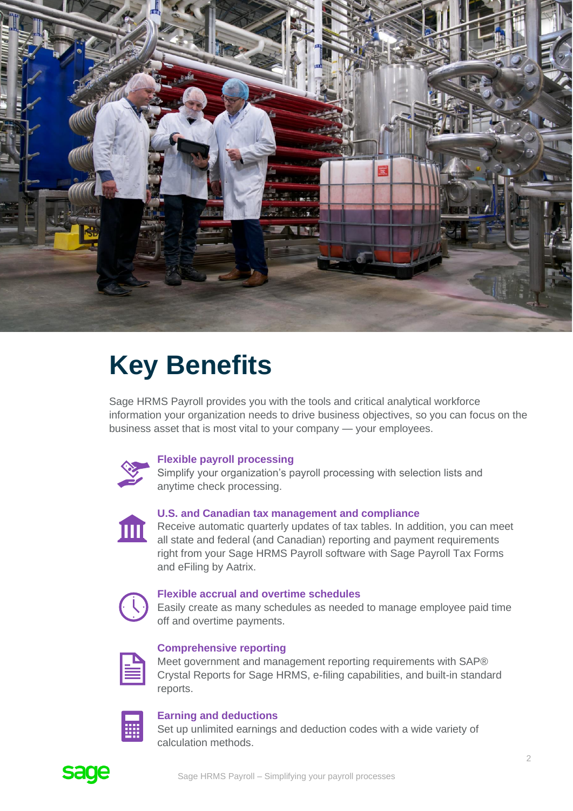

## **Key Benefits**

Sage HRMS Payroll provides you with the tools and critical analytical workforce information your organization needs to drive business objectives, so you can focus on the business asset that is most vital to your company — your employees.



#### **Flexible payroll processing**

Simplify your organization's payroll processing with selection lists and anytime check processing.



#### **U.S. and Canadian tax management and compliance**

Receive automatic quarterly updates of tax tables. In addition, you can meet all state and federal (and Canadian) reporting and payment requirements right from your Sage HRMS Payroll software with Sage Payroll Tax Forms and eFiling by Aatrix.



#### **Flexible accrual and overtime schedules**

Easily create as many schedules as needed to manage employee paid time off and overtime payments.



#### **Comprehensive reporting**

Meet government and management reporting requirements with SAP® Crystal Reports for Sage HRMS, e-filing capabilities, and built-in standard reports.



#### **Earning and deductions**

Set up unlimited earnings and deduction codes with a wide variety of calculation methods.

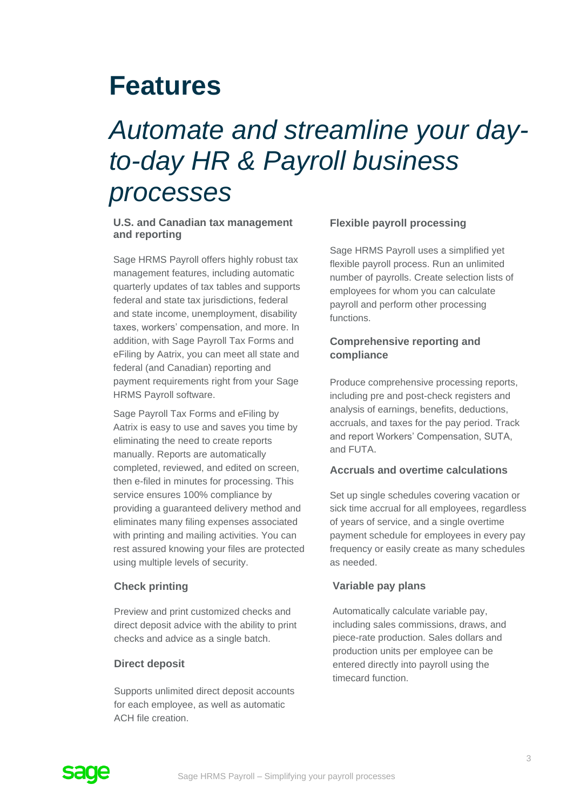### **Features**

### *Automate and streamline your dayto-day HR & Payroll business processes*

#### **U.S. and Canadian tax management and reporting**

Sage HRMS Payroll offers highly robust tax management features, including automatic quarterly updates of tax tables and supports federal and state tax jurisdictions, federal and state income, unemployment, disability taxes, workers' compensation, and more. In addition, with Sage Payroll Tax Forms and eFiling by Aatrix, you can meet all state and federal (and Canadian) reporting and payment requirements right from your Sage HRMS Payroll software.

Sage Payroll Tax Forms and eFiling by Aatrix is easy to use and saves you time by eliminating the need to create reports manually. Reports are automatically completed, reviewed, and edited on screen, then e-filed in minutes for processing. This service ensures 100% compliance by providing a guaranteed delivery method and eliminates many filing expenses associated with printing and mailing activities. You can rest assured knowing your files are protected using multiple levels of security.

#### **Check printing**

Preview and print customized checks and direct deposit advice with the ability to print checks and advice as a single batch.

#### **Direct deposit**

Supports unlimited direct deposit accounts for each employee, as well as automatic ACH file creation.

#### **Flexible payroll processing**

Sage HRMS Payroll uses a simplified yet flexible payroll process. Run an unlimited number of payrolls. Create selection lists of employees for whom you can calculate payroll and perform other processing functions.

#### **Comprehensive reporting and compliance**

Produce comprehensive processing reports, including pre and post-check registers and analysis of earnings, benefits, deductions, accruals, and taxes for the pay period. Track and report Workers' Compensation, SUTA, and FUTA.

#### **Accruals and overtime calculations**

Set up single schedules covering vacation or sick time accrual for all employees, regardless of years of service, and a single overtime payment schedule for employees in every pay frequency or easily create as many schedules as needed.

#### **Variable pay plans**

Automatically calculate variable pay, including sales commissions, draws, and piece-rate production. Sales dollars and production units per employee can be entered directly into payroll using the timecard function.